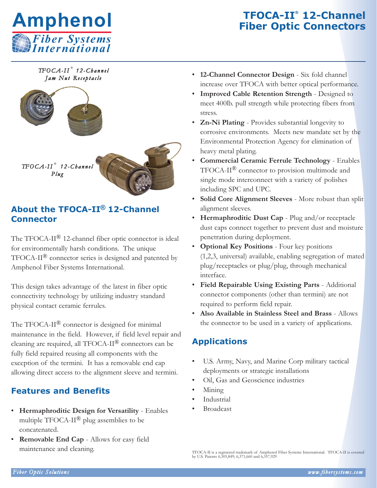

*TFOCA-I I* ® *1 2 -Ch a n n el J am Nu t Rece p t a c le*



### **About the TFOCA-II® 12-Channel Connector**

The TFOCA-II® 12-channel fiber optic connector is ideal for environmentally harsh conditions. The unique TFOCA-II® connector series is designed and patented by Amphenol Fiber Systems International.

This design takes advantage of the latest in fiber optic connectivity technology by utilizing industry standard physical contact ceramic ferrules.

The TFOCA-II<sup>®</sup> connector is designed for minimal maintenance in the field. However, if field level repair and cleaning are required, all TFOCA-II® connectors can be fully field repaired reusing all components with the exception of the termini. It has a removable end cap allowing direct access to the alignment sleeve and termini.

## **Features and Benefits**

- **Hermaphroditic Design for Versatility** Enables multiple  $TFOCA-II^{\circledR}$  plug assemblies to be concatenated.
- **Removable End Cap** Allows for easy field maintenance and cleaning.
- **12-Channel Connector Design** Six fold channel increase over TFOCA with better optical performance.
- **Improved Cable Retention Strength** Designed to meet 400lb. pull strength while protecting fibers from stress.
- **Zn-Ni Plating** Provides substantial longevity to corrosive environments. Meets new mandate set by the Environmental Protection Agency for elimination of heavy metal plating.
- **Commercial Ceramic Ferrule Technology** Enables TFOCA-II® connector to provision multimode and single mode interconnect with a variety of polishes including SPC and UPC.
- **Solid Core Alignment Sleeves** More robust than split alignment sleeves.
- **Hermaphroditic Dust Cap** Plug and/or receptacle dust caps connect together to prevent dust and moisture penetration during deployment.
- **Optional Key Positions** Four key positions (1,2,3, universal) available, enabling segregation of mated plug/receptacles or plug/plug, through mechanical interface.
- **Field Repairable Using Existing Parts** Additional connector components (other than termini) are not required to perform field repair.
- **Also Available in Stainless Steel and Brass**  Allows the connector to be used in a variety of applications.

## **Applications**

- U.S. Army, Navy, and Marine Corp military tactical deployments or strategic installations
- Oil, Gas and Geoscience industries
- Mining
- **Industrial**
- **Broadcast**

TFOCA-II is a registered trademark of Amphenol Fiber Systems International. TFOCA-II is covered by U.S. Patents 6,305,849; 6,371,660 and 6,357,929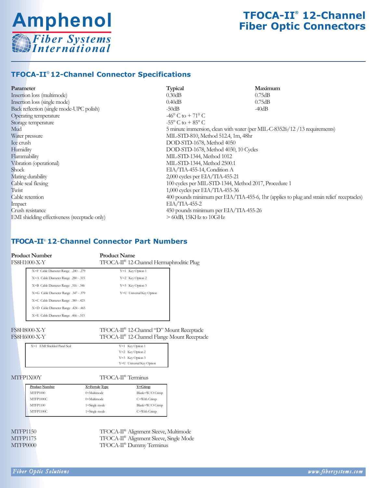

#### **TFOCA-II**® **12-Channel Connector Specifications**

| Parameter                                     | <b>Typical</b>                        | Maximum                                                                                   |  |  |
|-----------------------------------------------|---------------------------------------|-------------------------------------------------------------------------------------------|--|--|
| Insertion loss (multimode)                    | 0.30dB                                | 0.75dB                                                                                    |  |  |
| Insertion loss (single mode)                  | 0.40dB                                | 0.75dB                                                                                    |  |  |
| Back reflection (single mode-UPC polish)      | $-50dB$                               | $-40dB$                                                                                   |  |  |
| Operating temperature                         | $-46^{\circ}$ C to $+71^{\circ}$ C    |                                                                                           |  |  |
| Storage temperature                           | $-55^{\circ}$ C to $+85^{\circ}$ C    |                                                                                           |  |  |
| Mud                                           |                                       | 5 minute immersion, clean with water (per MIL-C-83526/12/13 requirements)                 |  |  |
| Water pressure                                |                                       | MIL-STD-810, Method 512.4, 1m, 48hr                                                       |  |  |
| Ice crush                                     |                                       | DOD-STD-1678, Method 4050                                                                 |  |  |
| Humidity                                      |                                       | DOD-STD-1678, Method 4030, 10 Cycles                                                      |  |  |
| Flammability                                  |                                       | MIL-STD-1344, Method 1012                                                                 |  |  |
| Vibration (operational)                       | MIL-STD-1344, Method 2500.1           |                                                                                           |  |  |
| <b>Shock</b>                                  | EIA/TIA-455-14, Condition A           |                                                                                           |  |  |
| Mating durability                             | 2,000 cycles per EIA/TIA-455-21       |                                                                                           |  |  |
| Cable seal flexing                            |                                       | 100 cycles per MIL-STD-1344, Method 2017, Procedure 1                                     |  |  |
| Twist                                         | 1,000 cycles per EIA/TIA-455-36       |                                                                                           |  |  |
| Cable retention                               |                                       | 400 pounds minimum per EIA/TIA-455-6, 1hr (applies to plug and strain relief receptacles) |  |  |
| Impact                                        | $EIA/TIA-455-2$                       |                                                                                           |  |  |
| Crush resistance                              | 450 pounds minimum per EIA/TIA-455-26 |                                                                                           |  |  |
| EMI shielding effectiveness (receptacle only) | $>$ 60dB, 15KHz to 10GHz              |                                                                                           |  |  |
|                                               |                                       |                                                                                           |  |  |

#### **TFOCA-II**® **12**-**Channel Connector Part Numbers**

**Product Number Product Name**<br>FS8H1000-X-Y TFOCA-II® 12-0 TFOCA-II® 12-Channel Hermaphroditic Plug

| 1.00111000711 |                                      | 11 ОСА 1-11 – 12-Симнікі і ікінімріш |  |
|---------------|--------------------------------------|--------------------------------------|--|
|               | X=F Cable Diameter Range .240 - .279 | $Y=1$ Key Option 1                   |  |
|               | X=A Cable Diameter Range .280 - .315 | $Y=2$ Key Option 2                   |  |
|               | X=B Cable Diameter Range .316 - .346 | $Y=3$ Key Option 3                   |  |
|               | X=G Cable Diameter Range .347 - .379 | Y=U Universal Key Option             |  |
|               | X=C Cable Diameter Range .380 - .423 |                                      |  |
|               | X=D Cable Diameter Range .424 - .465 |                                      |  |
|               | X=E Cable Diameter Range .466 - .515 |                                      |  |
|               |                                      |                                      |  |

FS8H8000-X-Y TFOCA-II® 12-Channel 'D' Mount Receptacle<br>FS8H6000-X-Y TFOCA-II® 12-Channel Flange Mount Receptac TFOCA-II® 12-Channel Flange Mount Receptacle

| X=1 EMI Shielded Panel Seal | $Y=1$ Key Option 1       |
|-----------------------------|--------------------------|
|                             | $Y=2$ Key Option 2       |
|                             | $Y=3$ Key Option 3       |
|                             | Y=U Universal Key Option |
|                             |                          |

MTFP1X00Y TFOCA-II® Terminus

| <b>Product Number</b> | X=Ferrule Type | $Y = C$ rimp    |
|-----------------------|----------------|-----------------|
| <b>MTFP1000</b>       | $0$ =Multimode | Blank=W/O Crimp |
| MTFP1000C             | $0$ =Multimode | C=With Crimp    |
| <b>MTFP1100</b>       | 1=Single mode  | Blank=W/O Crimp |
| MTFP1100C             | 1=Single mode  | C=With Crimp    |

MTFP1150 TFOCA-II® Alignment Sleeve, Multimode<br>MTFP1175 TFOCA-II® Alignment Sleeve, Single Mod TFOCA-II® Alignment Sleeve, Single Mode MTFP0000 TFOCA-II® Dummy Terminus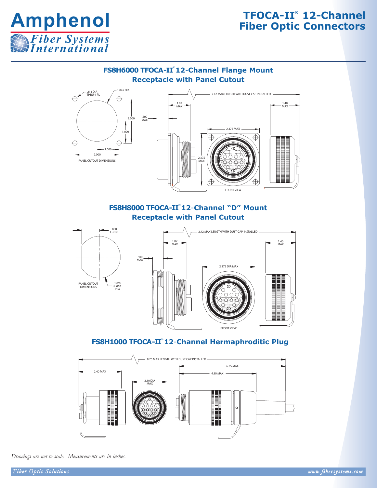

#### **FS8H6000 TFOCA-II**® **12**-**Channel Flange Mount Receptacle with Panel Cutout**



#### **FS8H8000 TFOCA-II**® **12**-**Channel "D" Mount Receptacle with Panel Cutout**



#### **FS8H1000 TFOCA-II**® **12**-**Channel Hermaphroditic Plug**



#### *Drawings are not to scale. Measurements are in inches.*